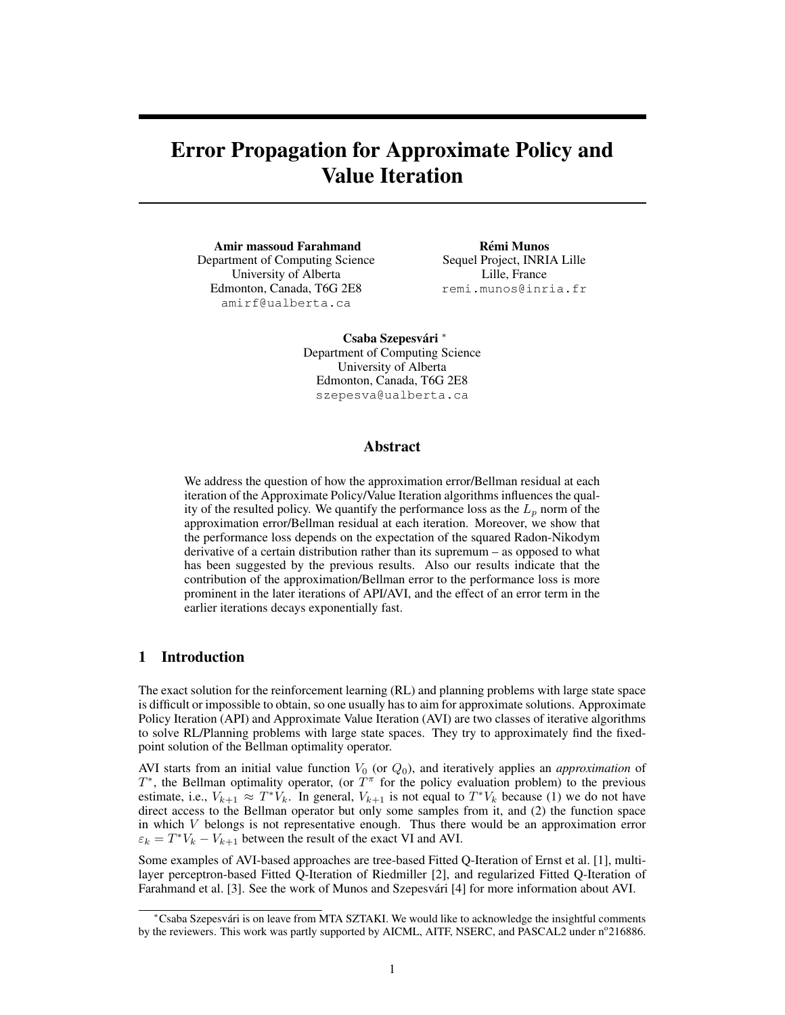# Error Propagation for Approximate Policy and Value Iteration

Amir massoud Farahmand Department of Computing Science University of Alberta Edmonton, Canada, T6G 2E8 amirf@ualberta.ca

Rémi Munos Sequel Project, INRIA Lille Lille, France remi.munos@inria.fr

Csaba Szepesvári \* Department of Computing Science University of Alberta Edmonton, Canada, T6G 2E8 szepesva@ualberta.ca

# Abstract

We address the question of how the approximation error/Bellman residual at each iteration of the Approximate Policy/Value Iteration algorithms influences the quality of the resulted policy. We quantify the performance loss as the  $L_p$  norm of the approximation error/Bellman residual at each iteration. Moreover, we show that the performance loss depends on the expectation of the squared Radon-Nikodym derivative of a certain distribution rather than its supremum – as opposed to what has been suggested by the previous results. Also our results indicate that the contribution of the approximation/Bellman error to the performance loss is more prominent in the later iterations of API/AVI, and the effect of an error term in the earlier iterations decays exponentially fast.

# 1 Introduction

The exact solution for the reinforcement learning (RL) and planning problems with large state space is difficult or impossible to obtain, so one usually has to aim for approximate solutions. Approximate Policy Iteration (API) and Approximate Value Iteration (AVI) are two classes of iterative algorithms to solve RL/Planning problems with large state spaces. They try to approximately find the fixedpoint solution of the Bellman optimality operator.

AVI starts from an initial value function  $V_0$  (or  $Q_0$ ), and iteratively applies an *approximation* of  $T^*$ , the Bellman optimality operator, (or  $T^{\pi}$  for the policy evaluation problem) to the previous estimate, i.e.,  $V_{k+1} \approx T^*V_k$ . In general,  $V_{k+1}$  is not equal to  $T^*V_k$  because (1) we do not have direct access to the Bellman operator but only some samples from it, and (2) the function space in which  $V$  belongs is not representative enough. Thus there would be an approximation error  $\varepsilon_k = T^*V_k - V_{k+1}$  between the result of the exact VI and AVI.

Some examples of AVI-based approaches are tree-based Fitted Q-Iteration of Ernst et al. [1], multilayer perceptron-based Fitted Q-Iteration of Riedmiller [2], and regularized Fitted Q-Iteration of Farahmand et al. [3]. See the work of Munos and Szepesvári [4] for more information about AVI.

<sup>∗</sup>Csaba Szepesvari is on leave from MTA SZTAKI. We would like to acknowledge the insightful comments ´ by the reviewers. This work was partly supported by AICML, AITF, NSERC, and PASCAL2 under n°216886.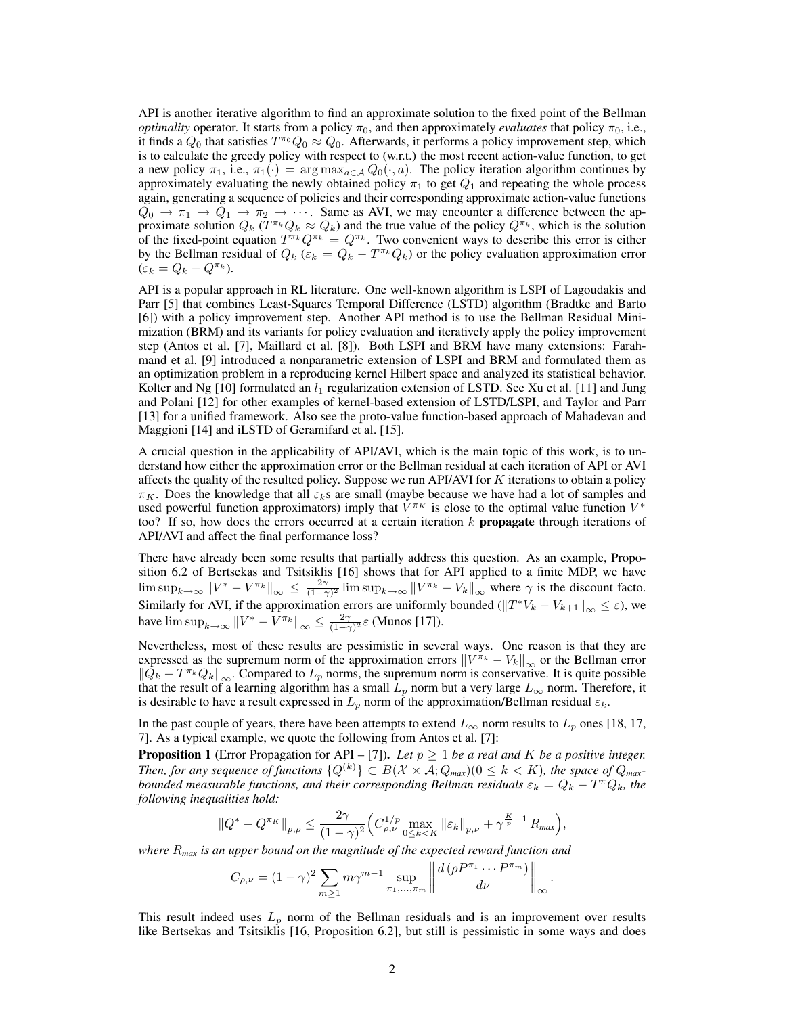API is another iterative algorithm to find an approximate solution to the fixed point of the Bellman *optimality* operator. It starts from a policy  $\pi_0$ , and then approximately *evaluates* that policy  $\pi_0$ , i.e., it finds a  $Q_0$  that satisfies  $T^{\pi_0}Q_0 \approx Q_0$ . Afterwards, it performs a policy improvement step, which is to calculate the greedy policy with respect to (w.r.t.) the most recent action-value function, to get a new policy  $\pi_1$ , i.e.,  $\pi_1(\cdot) = \arg \max_{a \in A} Q_0(\cdot, a)$ . The policy iteration algorithm continues by approximately evaluating the newly obtained policy  $\pi_1$  to get  $Q_1$  and repeating the whole process again, generating a sequence of policies and their corresponding approximate action-value functions  $Q_0 \to \pi_1 \to Q_1 \to \pi_2 \to \cdots$ . Same as AVI, we may encounter a difference between the approximate solution  $Q_k$  ( $T^{\pi_k}Q_k \approx Q_k$ ) and the true value of the policy  $Q^{\pi_k}$ , which is the solution of the fixed-point equation  $T^{\pi_k}Q^{\pi_k} = Q^{\pi_k}$ . Two convenient ways to describe this error is either by the Bellman residual of  $Q_k$  ( $\varepsilon_k = Q_k - T^{\pi_k} Q_k$ ) or the policy evaluation approximation error  $(\varepsilon_k = Q_k - Q^{\pi_k}).$ 

API is a popular approach in RL literature. One well-known algorithm is LSPI of Lagoudakis and Parr [5] that combines Least-Squares Temporal Difference (LSTD) algorithm (Bradtke and Barto [6]) with a policy improvement step. Another API method is to use the Bellman Residual Minimization (BRM) and its variants for policy evaluation and iteratively apply the policy improvement step (Antos et al. [7], Maillard et al. [8]). Both LSPI and BRM have many extensions: Farahmand et al. [9] introduced a nonparametric extension of LSPI and BRM and formulated them as an optimization problem in a reproducing kernel Hilbert space and analyzed its statistical behavior. Kolter and Ng [10] formulated an  $l_1$  regularization extension of LSTD. See Xu et al. [11] and Jung and Polani [12] for other examples of kernel-based extension of LSTD/LSPI, and Taylor and Parr [13] for a unified framework. Also see the proto-value function-based approach of Mahadevan and Maggioni [14] and iLSTD of Geramifard et al. [15].

A crucial question in the applicability of API/AVI, which is the main topic of this work, is to understand how either the approximation error or the Bellman residual at each iteration of API or AVI affects the quality of the resulted policy. Suppose we run API/AVI for  $K$  iterations to obtain a policy  $\pi_K$ . Does the knowledge that all  $\varepsilon_k$ s are small (maybe because we have had a lot of samples and used powerful function approximators) imply that  $V^{\pi_K}$  is close to the optimal value function  $V^*$ too? If so, how does the errors occurred at a certain iteration  $k$  **propagate** through iterations of API/AVI and affect the final performance loss?

There have already been some results that partially address this question. As an example, Proposition 6.2 of Bertsekas and Tsitsiklis [16] shows that for API applied to a finite MDP, we have  $\limsup_{k\to\infty} ||V^* - V^{\pi_k}||_{\infty} \le \frac{2\gamma}{(1-\gamma)^2} \limsup_{k\to\infty} ||V^{\pi_k} - V_k||_{\infty}$  where  $\gamma$  is the discount facto. Similarly for AVI, if the approximation errors are uniformly bounded  $(\Vert T^*V_k - V_{k+1} \Vert_{\infty} \leq \varepsilon)$ , we have  $\limsup_{k\to\infty} ||V^* - V^{\pi_k}||_{\infty} \le \frac{2\gamma}{(1-\gamma)^2} \varepsilon$  (Munos [17]).

Nevertheless, most of these results are pessimistic in several ways. One reason is that they are expressed as the supremum norm of the approximation errors  $\left\|V^{\pi_k} - V_k\right\|_{\infty}$  or the Bellman error  $\|\bar{Q}_k - T^{\pi_k}Q_k\|_{\infty}$ . Compared to  $L_p$  norms, the supremum norm is conservative. It is quite possible that the result of a learning algorithm has a small  $L_p$  norm but a very large  $L_{\infty}$  norm. Therefore, it is desirable to have a result expressed in  $L_p$  norm of the approximation/Bellman residual  $\varepsilon_k$ .

In the past couple of years, there have been attempts to extend  $L_{\infty}$  norm results to  $L_p$  ones [18, 17, 7]. As a typical example, we quote the following from Antos et al. [7]:

**Proposition 1** (Error Propagation for API – [7]). Let  $p \ge 1$  be a real and K be a positive integer. *Then, for any sequence of functions*  $\{Q^{(k)}\} \subset B(\mathcal{X} \times \overline{\mathcal{A}}; Q_{max})(0 \le k \le K)$ , the space of  $Q_{max}$ *bounded measurable functions, and their corresponding Bellman residuals*  $\varepsilon_k = Q_k - T^{\pi}Q_k$ , the *following inequalities hold:*

$$
\|Q^*-Q^{\pi_K}\|_{p,\rho}\leq \frac{2\gamma}{(1-\gamma)^2}\Big(C_{\rho,\nu}^{1/p}\max_{0\leq k< K}\|\varepsilon_k\|_{p,\nu}+\gamma^{\frac{K}{p}-1}\,R_{\text{max}}\Big),
$$

*where* R*max is an upper bound on the magnitude of the expected reward function and*

$$
C_{\rho,\nu} = (1 - \gamma)^2 \sum_{m \ge 1} m \gamma^{m-1} \sup_{\pi_1, \dots, \pi_m} \left\| \frac{d(\rho P^{\pi_1} \cdots P^{\pi_m})}{d\nu} \right\|_{\infty}
$$

.

This result indeed uses  $L_p$  norm of the Bellman residuals and is an improvement over results like Bertsekas and Tsitsiklis [16, Proposition 6.2], but still is pessimistic in some ways and does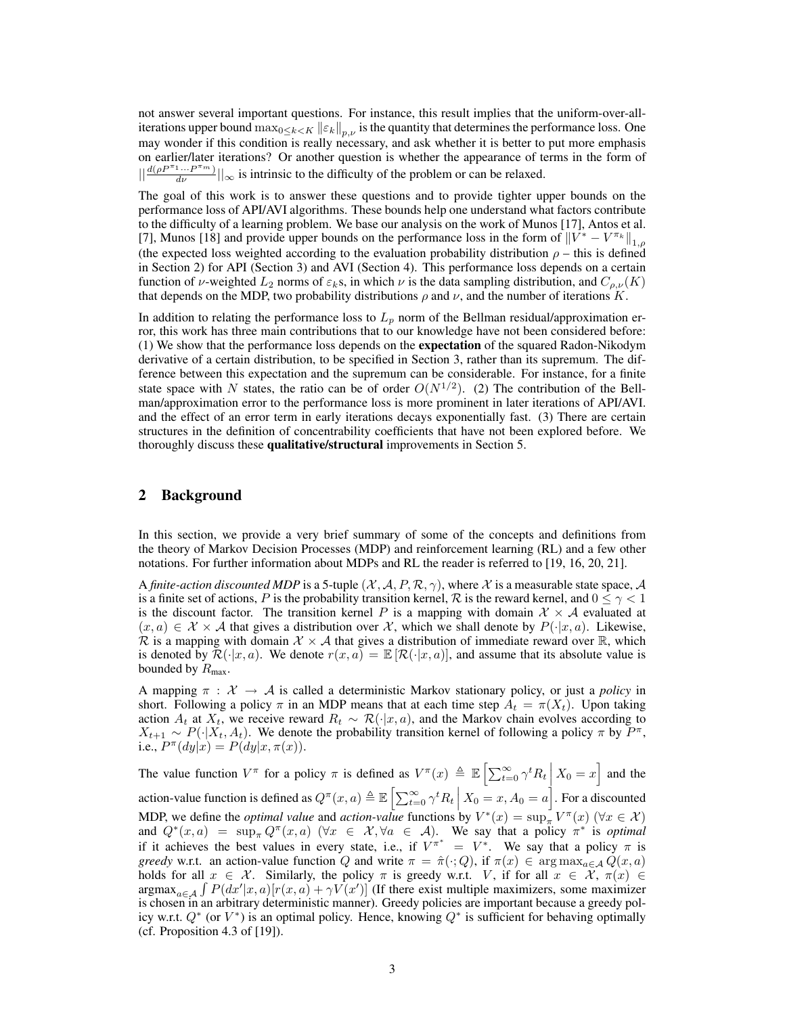not answer several important questions. For instance, this result implies that the uniform-over-alliterations upper bound  $\max_{0\leq k\leq K} ||\varepsilon_k||_{p,\nu}$  is the quantity that determines the performance loss. One may wonder if this condition is really necessary, and ask whether it is better to put more emphasis on earlier/later iterations? Or another question is whether the appearance of terms in the form of  $||\frac{d(\rho P^{\pi_1} \cdots P^{\pi_m})}{d\nu}||_{\infty}$  is intrinsic to the difficulty of the problem or can be relaxed.

The goal of this work is to answer these questions and to provide tighter upper bounds on the performance loss of API/AVI algorithms. These bounds help one understand what factors contribute to the difficulty of a learning problem. We base our analysis on the work of Munos [17], Antos et al. [7], Munos [18] and provide upper bounds on the performance loss in the form of  $||V^* - V^{\pi_k}||_{1,\rho}$ (the expected loss weighted according to the evaluation probability distribution  $\rho$  – this is defined in Section 2) for API (Section 3) and AVI (Section 4). This performance loss depends on a certain function of  $\nu$ -weighted  $L_2$  norms of  $\varepsilon_k$ s, in which  $\nu$  is the data sampling distribution, and  $C_{\rho,\nu}(K)$ that depends on the MDP, two probability distributions  $\rho$  and  $\nu$ , and the number of iterations K.

In addition to relating the performance loss to  $L_p$  norm of the Bellman residual/approximation error, this work has three main contributions that to our knowledge have not been considered before: (1) We show that the performance loss depends on the expectation of the squared Radon-Nikodym derivative of a certain distribution, to be specified in Section 3, rather than its supremum. The difference between this expectation and the supremum can be considerable. For instance, for a finite state space with N states, the ratio can be of order  $O(N^{1/2})$ . (2) The contribution of the Bellman/approximation error to the performance loss is more prominent in later iterations of API/AVI. and the effect of an error term in early iterations decays exponentially fast. (3) There are certain structures in the definition of concentrability coefficients that have not been explored before. We thoroughly discuss these qualitative/structural improvements in Section 5.

# 2 Background

In this section, we provide a very brief summary of some of the concepts and definitions from the theory of Markov Decision Processes (MDP) and reinforcement learning (RL) and a few other notations. For further information about MDPs and RL the reader is referred to [19, 16, 20, 21].

A *finite-action discounted MDP* is a 5-tuple  $(\mathcal{X}, \mathcal{A}, P, \mathcal{R}, \gamma)$ , where X is a measurable state space, A is a finite set of actions, P is the probability transition kernel, R is the reward kernel, and  $0 \le \gamma < 1$ is the discount factor. The transition kernel P is a mapping with domain  $\mathcal{X} \times \mathcal{A}$  evaluated at  $(x, a) \in \mathcal{X} \times \mathcal{A}$  that gives a distribution over X, which we shall denote by  $P(\cdot|x, a)$ . Likewise, R is a mapping with domain  $\mathcal{X} \times \mathcal{A}$  that gives a distribution of immediate reward over  $\mathbb{R}$ , which is denoted by  $\mathcal{R}(\cdot|x, a)$ . We denote  $r(x, a) = \mathbb{E}[\mathcal{R}(\cdot|x, a)]$ , and assume that its absolute value is bounded by  $R_{\text{max}}$ .

A mapping  $\pi : \mathcal{X} \to \mathcal{A}$  is called a deterministic Markov stationary policy, or just a *policy* in short. Following a policy  $\pi$  in an MDP means that at each time step  $A_t = \pi(X_t)$ . Upon taking action  $A_t$  at  $X_t$ , we receive reward  $R_t \sim \mathcal{R}(\cdot|x, a)$ , and the Markov chain evolves according to  $X_{t+1} \sim P(\cdot | X_t, A_t)$ . We denote the probability transition kernel of following a policy  $\pi$  by  $P^{\pi}$ , i.e.,  $P^{\pi}(dy|x) = P(dy|x, \pi(x)).$ 

The value function  $V^{\pi}$  for a policy  $\pi$  is defined as  $V^{\pi}(x) \triangleq \mathbb{E}\left[\sum_{t=0}^{\infty} \gamma^{t} R_{t}\right] X_{0} = x\right]$  and the action-value function is defined as  $Q^{\pi}(x, a) \triangleq \mathbb{E}\left[\sum_{t=0}^{\infty} \gamma^t R_t \mid X_0 = x, A_0 = a\right]$ . For a discounted MDP, we define the *optimal value* and *action-value* functions by  $V^*(x) = \sup_{\pi} V^{\pi}(x)$  ( $\forall x \in \mathcal{X}$ ) and  $Q^*(x, a) = \sup_{\pi} Q^{\pi}(x, a)$   $(\forall x \in \mathcal{X}, \forall a \in \mathcal{A})$ . We say that a policy  $\pi^*$  is *optimal* if it achieves the best values in every state, i.e., if  $V^{\pi^*} = V^*$ . We say that a policy  $\pi$  is *greedy* w.r.t. an action-value function Q and write  $\pi = \hat{\pi}(\cdot; Q)$ , if  $\pi(x) \in \arg \max_{a \in A} Q(x, a)$ holds for all  $x \in \mathcal{X}$ . Similarly, the policy  $\pi$  is greedy w.r.t. V, if for all  $x \in \mathcal{X}$ ,  $\pi(x) \in$ argmax<sub>a∈A</sub>  $\int P(dx'|x, a)[r(x, a) + \gamma V(x')]$  (If there exist multiple maximizers, some maximizer is chosen in an arbitrary deterministic manner). Greedy policies are important because a greedy policy w.r.t.  $Q^*$  (or  $V^*$ ) is an optimal policy. Hence, knowing  $Q^*$  is sufficient for behaving optimally (cf. Proposition 4.3 of [19]).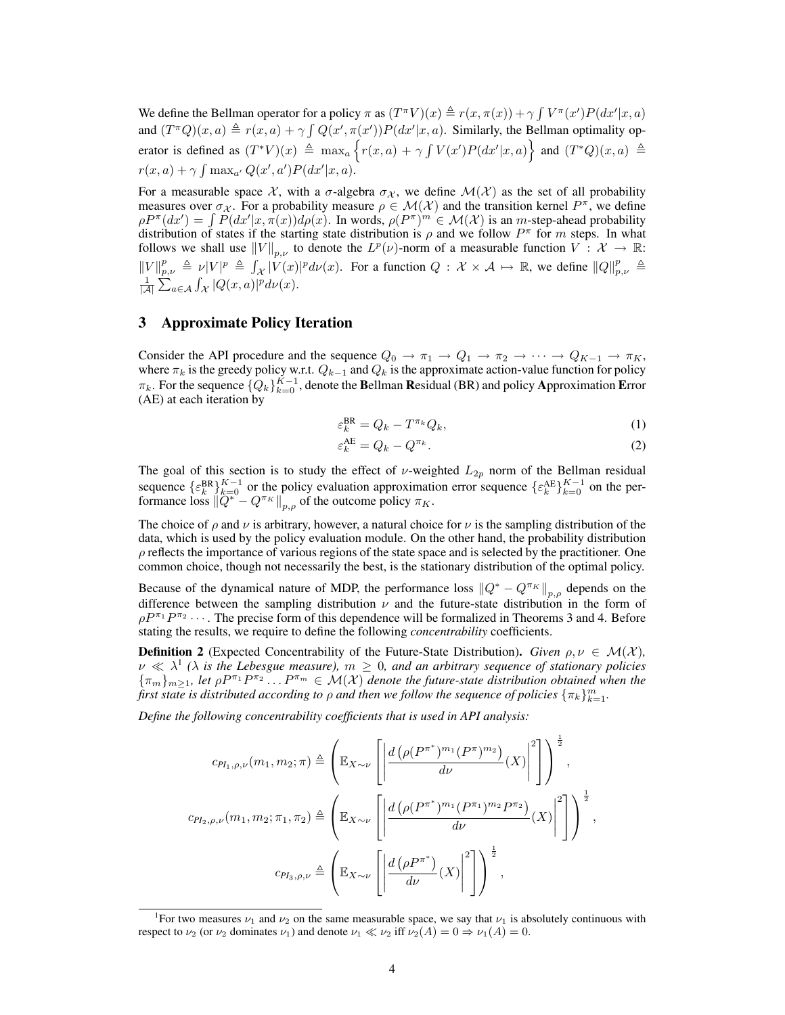We define the Bellman operator for a policy  $\pi$  as  $(T^{\pi}V)(x) \triangleq r(x, \pi(x)) + \gamma \int V^{\pi}(x')P(dx'|x, a)$ and  $(T^{\pi}Q)(x, a) \triangleq r(x, a) + \gamma \int Q(x', \pi(x')) P(dx'|x, a)$ . Similarly, the Bellman optimality operator is defined as  $(T^*V)(x) \triangleq \max_a \{r(x,a) + \gamma \int V(x')P(dx'|x,a)\}$  and  $(T^*Q)(x,a) \triangleq$  $r(x, a) + \gamma \int \max_{a'} Q(x', a') P(dx'|x, a).$ 

For a measurable space  $\mathcal X$ , with a  $\sigma$ -algebra  $\sigma_{\mathcal X}$ , we define  $\mathcal M(\mathcal X)$  as the set of all probability measures over  $\sigma_{\chi}$ . For a probability measure  $\rho \in \mathcal{M}(\mathcal{X})$  and the transition kernel  $P^{\pi}$ , we define  $\rho P^{\pi}(dx') = \int P(dx'|x, \pi(x)) d\rho(x)$ . In words,  $\rho(P^{\pi})^m \in \mathcal{M}(\mathcal{X})$  is an *m*-step-ahead probability distribution of states if the starting state distribution is  $\rho$  and we follow  $P^{\pi}$  for m steps. In what follows we shall use  $||V||_{p,\nu}$  to denote the  $L^p(\nu)$ -norm of a measurable function  $V: \mathcal{X} \to \mathbb{R}$ :  $||V||_{p,\nu}^p \triangleq \nu |V|^p \triangleq \int_{\mathcal{X}} |V(x)|^p d\nu(x)$ . For a function  $Q : \mathcal{X} \times \mathcal{A} \mapsto \mathbb{R}$ , we define  $||Q||_{p,\nu}^p \triangleq$  $\frac{1}{|\mathcal{A}|}\sum_{a\in\mathcal{A}}\int_{\mathcal{X}}|Q(x,a)|^p d\nu(x).$ 

# 3 Approximate Policy Iteration

Consider the API procedure and the sequence  $Q_0 \to \pi_1 \to Q_1 \to \pi_2 \to \cdots \to Q_{K-1} \to \pi_K$ , where  $\pi_k$  is the greedy policy w.r.t.  $Q_{k-1}$  and  $Q_k$  is the approximate action-value function for policy  $\pi_k$ . For the sequence  $\{Q_k\}_{k=0}^{K-1}$ , denote the Bellman Residual (BR) and policy Approximation Error (AE) at each iteration by

$$
\varepsilon_k^{\text{BR}} = Q_k - T^{\pi_k} Q_k,\tag{1}
$$

$$
\varepsilon_k^{\text{AE}} = Q_k - Q^{\pi_k}.\tag{2}
$$

The goal of this section is to study the effect of  $\nu$ -weighted  $L_{2p}$  norm of the Bellman residual sequence  $\{\varepsilon_k^{BR}\}_{k=0}^{K-1}$  or the policy evaluation approximation error sequence  $\{\varepsilon_k^{AE}\}_{k=0}^{K-1}$  on the performance loss  $\|\ddot{Q}^* - Q^{\pi_K}\|_{p,\rho}$  of the outcome policy  $\pi_K$ .

The choice of  $\rho$  and  $\nu$  is arbitrary, however, a natural choice for  $\nu$  is the sampling distribution of the data, which is used by the policy evaluation module. On the other hand, the probability distribution  $\rho$  reflects the importance of various regions of the state space and is selected by the practitioner. One common choice, though not necessarily the best, is the stationary distribution of the optimal policy.

Because of the dynamical nature of MDP, the performance loss  $\|Q^* - Q^{\pi_K}\|_{p,\rho}$  depends on the difference between the sampling distribution  $\nu$  and the future-state distribution in the form of  $\rho P^{\pi_1} P^{\pi_2} \cdots$ . The precise form of this dependence will be formalized in Theorems 3 and 4. Before stating the results, we require to define the following *concentrability* coefficients.

**Definition 2** (Expected Concentrability of the Future-State Distribution). *Given*  $\rho, \nu \in \mathcal{M}(\mathcal{X})$ ,  $\nu \ll \lambda^1$  ( $\lambda$  is the Lebesgue measure),  $m \geq 0$ , and an arbitrary sequence of stationary policies  $\{\pi_m\}_{m\geq 1}$ , let  $\rho P^{\pi_1}P^{\pi_2} \ldots P^{\pi_m} \in \mathcal{M}(\mathcal{X})$  denote the future-state distribution obtained when the first state is distributed according to  $\rho$  and then we follow the sequence of policies  $\{\pi_k\}_{k=1}^m.$ 

*Define the following concentrability coefficients that is used in API analysis:*

$$
c_{PI_1,\rho,\nu}(m_1, m_2; \pi) \triangleq \left(\mathbb{E}_{X \sim \nu} \left[ \left| \frac{d\left(\rho(P^{\pi^*})^{m_1}(P^{\pi})^{m_2}\right)}{d\nu}(X) \right|^2 \right] \right)^{\frac{1}{2}},
$$
  

$$
c_{PI_2,\rho,\nu}(m_1, m_2; \pi_1, \pi_2) \triangleq \left(\mathbb{E}_{X \sim \nu} \left[ \left| \frac{d\left(\rho(P^{\pi^*})^{m_1}(P^{\pi_1})^{m_2}P^{\pi_2}\right)}{d\nu}(X) \right|^2 \right] \right)^{\frac{1}{2}},
$$
  

$$
c_{PI_3,\rho,\nu} \triangleq \left(\mathbb{E}_{X \sim \nu} \left[ \left| \frac{d\left(\rho P^{\pi^*}\right)}{d\nu}(X) \right|^2 \right] \right)^{\frac{1}{2}},
$$

<sup>&</sup>lt;sup>1</sup>For two measures  $\nu_1$  and  $\nu_2$  on the same measurable space, we say that  $\nu_1$  is absolutely continuous with respect to  $\nu_2$  (or  $\nu_2$  dominates  $\nu_1$ ) and denote  $\nu_1 \ll \nu_2$  iff  $\nu_2(A) = 0 \Rightarrow \nu_1(A) = 0$ .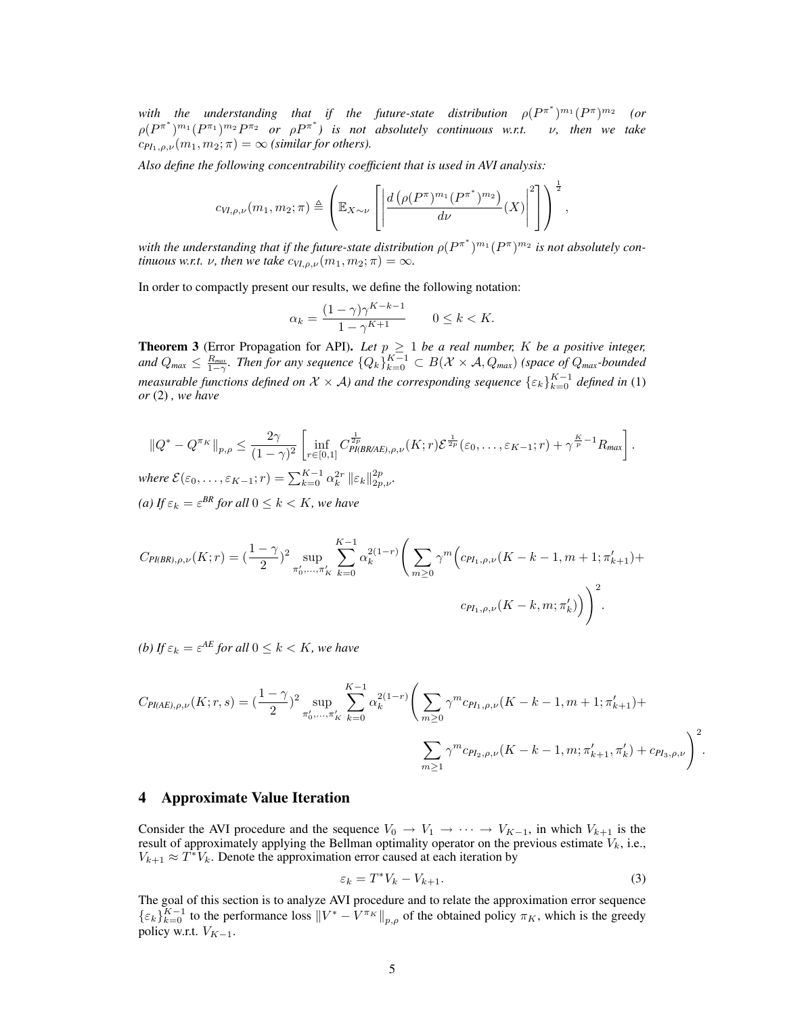with the understanding that if the future-state distribution  $\rho(P^{\pi^*})^{m_1}(P^{\pi})^{m_2}$ *(or*  $\rho(P^{\pi^*})^{m_1}(P^{\pi_1})^{m_2}P^{\pi_2}$  *or*  $\rho P^{\pi^*}$ *)* is not absolutely continuous w.r.t. v, then we take  $c_{PI_1,\rho,\nu}(m_1,m_2;\pi) = \infty$  *(similar for others).* 

*Also define the following concentrability coefficient that is used in AVI analysis:*

$$
c_{VI,\rho,\nu}(m_1,m_2;\pi)\triangleq\left(\mathbb{E}_{X\sim\nu}\left[\left|\frac{d\left(\rho(P^\pi)^{m_1}(P^{\pi^*})^{m_2}\right)}{d\nu}(X)\right|^2\right]\right)^{\frac{1}{2}},
$$

with the understanding that if the future-state distribution  $\rho(P^{\pi^*})^{m_1}(P^{\pi})^{m_2}$  is not absolutely con*tinuous w.r.t.*  $\nu$ *, then we take*  $c_{VI,\rho,\nu}(m_1, m_2; \pi) = \infty$ *.* 

In order to compactly present our results, we define the following notation:

$$
\alpha_k = \frac{(1 - \gamma)\gamma^{K-k-1}}{1 - \gamma^{K+1}} \qquad 0 \le k < K.
$$

**Theorem 3** (Error Propagation for API). Let  $p \geq 1$  be a real number, K be a positive integer, and  $Q_{max} \leq \frac{R_{max}}{1-\gamma}$ . Then for any sequence  $\{Q_k\}_{k=0}^{K-1} \subset B(\mathcal{X} \times \mathcal{A}, Q_{max})$  (space of  $Q_{max}$ *-bounded measurable functions defined on*  $X \times A$ *) and the corresponding sequence*  $\{\varepsilon_k\}_{k=0}^{K-1}$  *defined in* (1) *or* (2) *, we have*

$$
\|Q^* - Q^{\pi_K}\|_{p,\rho} \le \frac{2\gamma}{(1-\gamma)^2} \left[ \inf_{r \in [0,1]} C_{Pl(BRAE),\rho,\nu}^{\frac{1}{2p}}(K; r) \mathcal{E}^{\frac{1}{2p}}(\varepsilon_0,\ldots,\varepsilon_{K-1};r) + \gamma^{\frac{K}{p}-1} R_{\text{max}} \right].
$$
  
where  $\mathcal{E}(\varepsilon_0,\ldots,\varepsilon_{K-1};r) = \sum_{k=0}^{K-1} \alpha_k^{2r} \|\varepsilon_k\|_{2p,\nu}^{2p}.$ 

*(a)* If  $\varepsilon_k = \varepsilon^{BR}$  for all  $0 \leq k < K$ , we have

$$
C_{PI(BR),\rho,\nu}(K;r) = \left(\frac{1-\gamma}{2}\right)^2 \sup_{\pi'_0,\dots,\pi'_K} \sum_{k=0}^{K-1} \alpha_k^{2(1-r)} \left(\sum_{m\geq 0} \gamma^m \left(c_{PI_1,\rho,\nu}(K-k-1,m+1;\pi'_{k+1})+\right)\right)^2.
$$
  

$$
c_{PI_1,\rho,\nu}(K-k,m;\pi'_k)\right)^2.
$$

*(b)* If  $\varepsilon_k = \varepsilon^{AE}$  for all  $0 \leq k < K$ , we have

$$
C_{PI(AE),\rho,\nu}(K;r,s) = \left(\frac{1-\gamma}{2}\right)^2 \sup_{\pi'_0,\dots,\pi'_K} \sum_{k=0}^{K-1} \alpha_k^{2(1-r)} \left(\sum_{m\geq 0} \gamma^m c_{PI_1,\rho,\nu}(K-k-1,m+1;\pi'_{k+1}) + \sum_{m\geq 1} \gamma^m c_{PI_2,\rho,\nu}(K-k-1,m;\pi'_{k+1},\pi'_k) + c_{PI_3,\rho,\nu}\right)^2.
$$

# 4 Approximate Value Iteration

Consider the AVI procedure and the sequence  $V_0 \rightarrow V_1 \rightarrow \cdots \rightarrow V_{K-1}$ , in which  $V_{k+1}$  is the result of approximately applying the Bellman optimality operator on the previous estimate  $V_k$ , i.e.,  $V_{k+1} \approx T^*V_k$ . Denote the approximation error caused at each iteration by

$$
\varepsilon_k = T^* V_k - V_{k+1}.
$$
\n(3)

The goal of this section is to analyze AVI procedure and to relate the approximation error sequence  $\{\varepsilon_k\}_{k=0}^{K-1}$  to the performance loss  $\|V^* - V^{\pi_K}\|_{p,\rho}$  of the obtained policy  $\pi_K$ , which is the greedy policy w.r.t.  $V_{K-1}$ .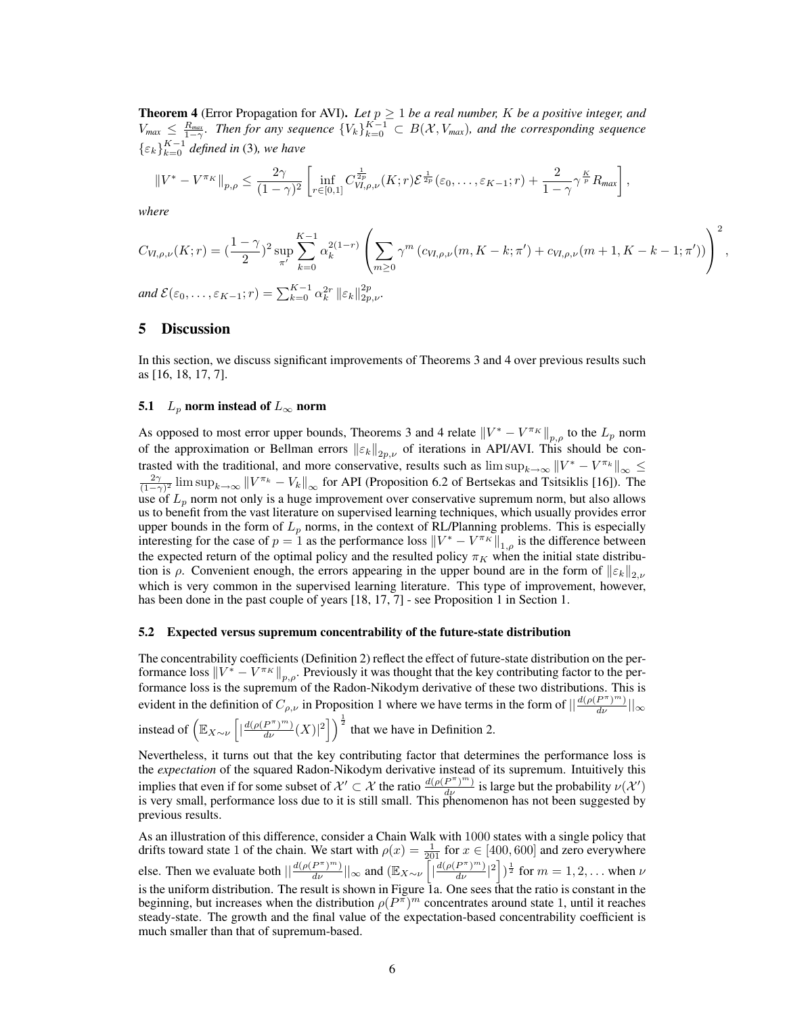**Theorem 4** (Error Propagation for AVI). Let  $p \geq 1$  be a real number, K be a positive integer, and  $V_{max} \leq \frac{R_{max}}{1-\gamma}$ . Then for any sequence  $\{V_k\}_{k=0}^{K-1} \subset B(\mathcal{X}, V_{max})$ , and the corresponding sequence  $\{\varepsilon_k\}_{k=0}^{K-1}$  defined in (3), we have

$$
||V^* - V^{\pi_K}||_{p,\rho} \leq \frac{2\gamma}{(1-\gamma)^2} \left[ \inf_{r \in [0,1]} C^{\frac{1}{2p}}_{V,I,\rho,\nu}(K;r) \mathcal{E}^{\frac{1}{2p}}(\varepsilon_0,\ldots,\varepsilon_{K-1};r) + \frac{2}{1-\gamma} \gamma^{\frac{K}{p}} R_{\text{max}} \right],
$$

*where*

$$
C_{VI,\rho,\nu}(K;r) = \left(\frac{1-\gamma}{2}\right)^2 \sup_{\pi'} \sum_{k=0}^{K-1} \alpha_k^{2(1-r)} \left( \sum_{m\geq 0} \gamma^m \left( c_{VI,\rho,\nu}(m,K-k;\pi') + c_{VI,\rho,\nu}(m+1,K-k-1;\pi') \right) \right)^2,
$$

and  $\mathcal{E}(\varepsilon_0, \ldots, \varepsilon_{K-1}; r) = \sum_{k=0}^{K-1} \alpha_k^{2r} \, \|\varepsilon_k\|_{2p,\nu}^{2p}.$ 

## 5 Discussion

In this section, we discuss significant improvements of Theorems 3 and 4 over previous results such as [16, 18, 17, 7].

#### 5.1  $L_p$  norm instead of  $L_\infty$  norm

As opposed to most error upper bounds, Theorems 3 and 4 relate  $\left\|V^* - V^{\pi_K}\right\|_{p,\rho}$  to the  $L_p$  norm of the approximation or Bellman errors  $\|\varepsilon_k\|_{2p,\nu}$  of iterations in API/AVI. This should be contrasted with the traditional, and more conservative, results such as  $\limsup_{k\to\infty} ||V^* - V^{\pi_k}||_{\infty} \le$  $\frac{2\gamma}{(1-\gamma)^2}$  lim sup $_{k\to\infty}$   $\|V^{\pi_k} - V_k\|_{\infty}$  for API (Proposition 6.2 of Bertsekas and Tsitsiklis [16]). The use of  $L_p$  norm not only is a huge improvement over conservative supremum norm, but also allows us to benefit from the vast literature on supervised learning techniques, which usually provides error upper bounds in the form of  $L_p$  norms, in the context of RL/Planning problems. This is especially interesting for the case of  $p = 1$  as the performance loss  $||V^* - V^{\pi_K}||_{1,\rho}$  is the difference between the expected return of the optimal policy and the resulted policy  $\pi_K$  when the initial state distribution is  $\rho$ . Convenient enough, the errors appearing in the upper bound are in the form of  $||\varepsilon_k||_{2,\nu}$ which is very common in the supervised learning literature. This type of improvement, however, has been done in the past couple of years [18, 17, 7] - see Proposition 1 in Section 1.

#### 5.2 Expected versus supremum concentrability of the future-state distribution

The concentrability coefficients (Definition 2) reflect the effect of future-state distribution on the performance loss  $\left\|V^* - V^{\pi_K}\right\|_{p,\rho}$ . Previously it was thought that the key contributing factor to the performance loss is the supremum of the Radon-Nikodym derivative of these two distributions. This is evident in the definition of  $C_{\rho,\nu}$  in Proposition 1 where we have terms in the form of  $\left|\frac{d(\rho(P^{\pi})^m)}{d\nu}\right|_{\infty}$ 

instead of  $\left( \mathbb{E}_{X \sim \nu} \left[ \left| \frac{d(\rho(P^{\pi})^m)}{d\nu} (X) \right|^2 \right] \right)^{\frac{1}{2}}$  that we have in Definition 2.

Nevertheless, it turns out that the key contributing factor that determines the performance loss is the *expectation* of the squared Radon-Nikodym derivative instead of its supremum. Intuitively this implies that even if for some subset of  $\mathcal{X}' \subset \mathcal{X}$  the ratio  $\frac{d(\rho(P^{\pi})^m)}{d\nu}$  is large but the probability  $\nu(\mathcal{X}')$ is very small, performance loss due to it is still small. This phenomenon has not been suggested by previous results.

As an illustration of this difference, consider a Chain Walk with 1000 states with a single policy that drifts toward state 1 of the chain. We start with  $\rho(x) = \frac{1}{201}$  for  $x \in [400, 600]$  and zero everywhere else. Then we evaluate both  $\left|\left|\frac{d(\rho(P^{\pi})^m)}{d\nu}\right|\right|_{\infty}$  and  $\left(\mathbb{E}_{X\sim\nu}\left[\left|\frac{d(\rho(P^{\pi})^m)}{d\nu}\right|^2\right]\right)^{\frac{1}{2}}$  for  $m=1,2,\ldots$  when  $\nu$ is the uniform distribution. The result is shown in Figure 1a. One sees that the ratio is constant in the beginning, but increases when the distribution  $\rho(P^{\pi})^m$  concentrates around state 1, until it reaches steady-state. The growth and the final value of the expectation-based concentrability coefficient is much smaller than that of supremum-based.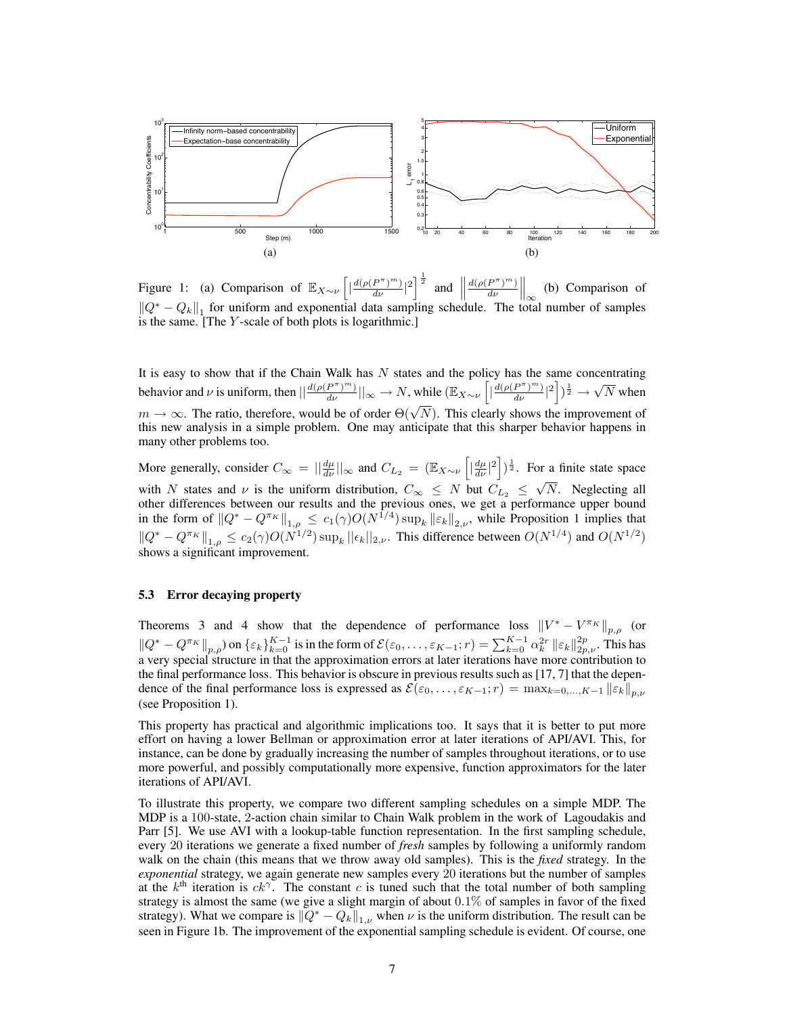

Figure 1: (a) Comparison of  $\mathbb{E}_{X \sim \nu} \left[ \left| \frac{d(\rho(P^{\pi})^m)}{d\nu} \right|^2 \right]^{\frac{1}{2}}$  and  $\mathbb{I}$  $d(\rho(P^{\pi})^m)$  $\left.\frac{P^{\pi})^m}{d\nu}\right|_{\infty}$ (b) Comparison of  $||Q^* - Q_k||_1$  for uniform and exponential data sampling schedule. The total number of samples is the same. [The Y -scale of both plots is logarithmic.]

It is easy to show that if the Chain Walk has  $N$  states and the policy has the same concentrating behavior and  $\nu$  is uniform, then  $\left|\frac{d(\rho(P^{\pi})^m)}{d\nu}\right| \right|_{\infty} \to N$ , while  $(\mathbb{E}_{X \sim \nu} \left[ \left|\frac{d(\rho(P^{\pi})^m)}{d\nu}\right|^2 \right])^{\frac{1}{2}} \to N$ √  $N$  when  $m \to \infty$ . The ratio, therefore, would be of order  $\Theta(\sqrt{N})$ . This clearly shows the improvement of this new analysis in a simple problem. One may anticipate that this sharper behavior happens in many other problems too.

More generally, consider  $C_{\infty} = ||\frac{d\mu}{d\nu}||_{\infty}$  and  $C_{L_2} = (\mathbb{E}_{X \sim \nu} \left[ |\frac{d\mu}{d\nu}|^2 \right])^{\frac{1}{2}}$ . For a finite state space with N states and  $\nu$  is the uniform distribution,  $C_{\infty} \leq N$  but  $C_{L_2} \leq$ √ N. Neglecting all other differences between our results and the previous ones, we get a performance upper bound in the form of  $||Q^* - Q^{\pi_K}||_{1,\rho} \le c_1(\gamma)O(N^{1/4}) \sup_k ||\varepsilon_k||_{2,\nu}$ , while Proposition 1 implies that  $||Q^* - Q^{\pi_K}||_{1,\rho} \leq c_2(\gamma)O(N^{1/2}) \sup_k ||\epsilon_k||_{2,\nu}$ . This difference between  $O(N^{1/4})$  and  $O(N^{1/2})$ shows a significant improvement.

#### 5.3 Error decaying property

Theorems 3 and 4 show that the dependence of performance loss  $\left\|V^* - V^{\pi_K}\right\|_{p,\rho}$  (or  $\|Q^* - Q^{\pi_K}\|_{p,\rho}$  on  $\{\varepsilon_k\}_{k=0}^{K-1}$  is in the form of  $\mathcal{E}(\varepsilon_0,\ldots,\varepsilon_{K-1};r) = \sum_{k=0}^{K-1} \alpha_k^{2r} \| \varepsilon_k \|_{2p,\nu}^{2p}$ . This has a very special structure in that the approximation errors at later iterations have more contribution to the final performance loss. This behavior is obscure in previous results such as [17, 7] that the dependence of the final performance loss is expressed as  $\mathcal{E}(\varepsilon_0, \dots, \varepsilon_{K-1}; r) = \max_{k=0,\dots,K-1} ||\varepsilon_k||_{n,v}$ (see Proposition 1).

This property has practical and algorithmic implications too. It says that it is better to put more effort on having a lower Bellman or approximation error at later iterations of API/AVI. This, for instance, can be done by gradually increasing the number of samples throughout iterations, or to use more powerful, and possibly computationally more expensive, function approximators for the later iterations of API/AVI.

To illustrate this property, we compare two different sampling schedules on a simple MDP. The MDP is a 100-state, 2-action chain similar to Chain Walk problem in the work of Lagoudakis and Parr [5]. We use AVI with a lookup-table function representation. In the first sampling schedule, every 20 iterations we generate a fixed number of *fresh* samples by following a uniformly random walk on the chain (this means that we throw away old samples). This is the *fixed* strategy. In the *exponential* strategy, we again generate new samples every 20 iterations but the number of samples at the  $k^{\text{th}}$  iteration is  $ck^{\gamma}$ . The constant c is tuned such that the total number of both sampling strategy is almost the same (we give a slight margin of about 0.1% of samples in favor of the fixed strategy). What we compare is  $\|\bar{Q}^* - Q_k\|_{1,\nu}$  when  $\nu$  is the uniform distribution. The result can be seen in Figure 1b. The improvement of the exponential sampling schedule is evident. Of course, one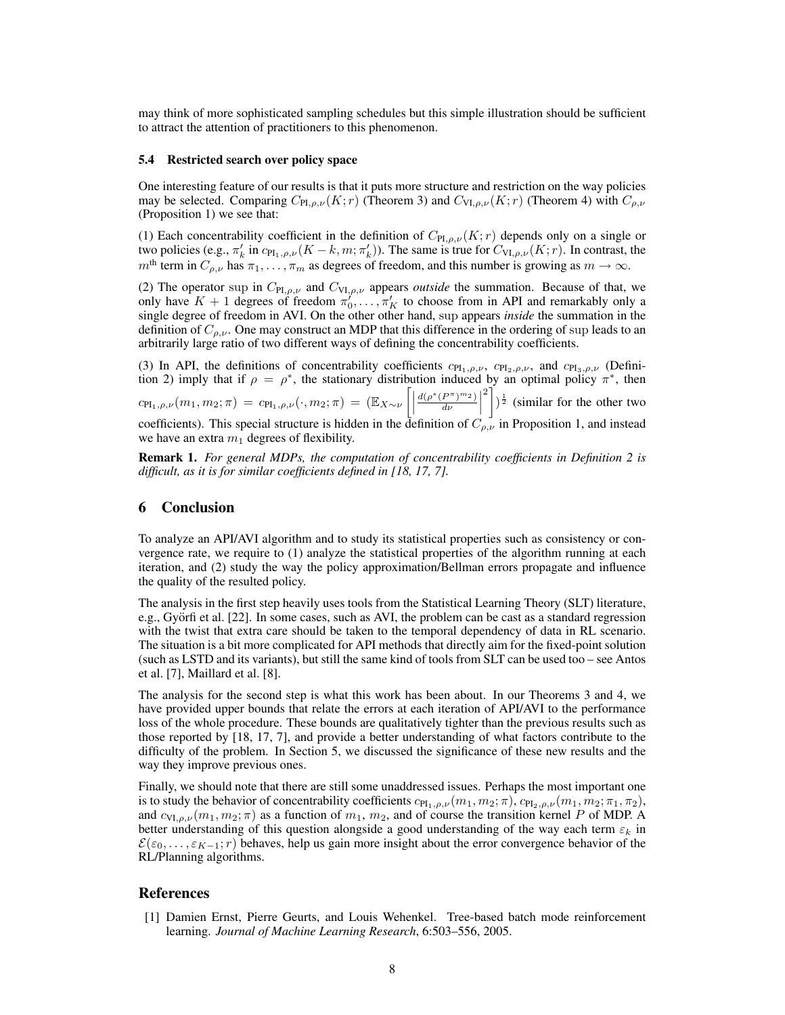may think of more sophisticated sampling schedules but this simple illustration should be sufficient to attract the attention of practitioners to this phenomenon.

## 5.4 Restricted search over policy space

One interesting feature of our results is that it puts more structure and restriction on the way policies may be selected. Comparing  $C_{\text{PI},\rho,\nu}(K;r)$  (Theorem 3) and  $C_{\text{VI},\rho,\nu}(K;r)$  (Theorem 4) with  $C_{\rho,\nu}$ (Proposition 1) we see that:

(1) Each concentrability coefficient in the definition of  $C_{\text{PI},\rho,\nu}(K;r)$  depends only on a single or two policies (e.g.,  $\pi'_k$  in  $c_{\text{PI}_1,\rho,\nu}(K-k,m;\pi'_k)$ ). The same is true for  $C_{\text{VI},\rho,\nu}(K;r)$ . In contrast, the  $m<sup>th</sup>$  term in  $C_{\rho,\nu}$  has  $\pi_1, \ldots, \pi_m$  as degrees of freedom, and this number is growing as  $m \to \infty$ .

(2) The operator sup in  $C_{\text{PI},\rho,\nu}$  and  $C_{\text{VI},\rho,\nu}$  appears *outside* the summation. Because of that, we only have  $K + 1$  degrees of freedom  $\pi_0^{\gamma}, \ldots, \pi_K^{\gamma}$  to choose from in API and remarkably only a single degree of freedom in AVI. On the other other hand, sup appears *inside* the summation in the definition of  $C_{\rho,\nu}$ . One may construct an MDP that this difference in the ordering of sup leads to an arbitrarily large ratio of two different ways of defining the concentrability coefficients.

(3) In API, the definitions of concentrability coefficients  $c_{\text{PI}_1,\rho,\nu}$ ,  $c_{\text{PI}_2,\rho,\nu}$ , and  $c_{\text{PI}_3,\rho,\nu}$  (Definition 2) imply that if  $\rho = \rho^*$ , the stationary distribution induced by an optimal policy  $\pi^*$ , then  $\begin{equation} c_{\text{PI}_1,\rho,\nu}(m_1,m_2;\pi) \ = \ c_{\text{PI}_1,\rho,\nu}(\cdot,m_2;\pi) \ = \ \left(\mathbb{E}_{X \sim \nu}\left[ \left| \right. \right. \right] \end{equation}$  $d(\rho^*(P^{\pi})^{m_2})$  $\frac{P^{\pi})^{m_2} }{d\nu}$  $\binom{2}{1}$   $\frac{1}{2}$  (similar for the other two coefficients). This special structure is hidden in the definition of  $C_{\rho,\nu}$  in Proposition 1, and instead we have an extra  $m_1$  degrees of flexibility.

Remark 1. *For general MDPs, the computation of concentrability coefficients in Definition 2 is difficult, as it is for similar coefficients defined in [18, 17, 7].*

## 6 Conclusion

To analyze an API/AVI algorithm and to study its statistical properties such as consistency or convergence rate, we require to (1) analyze the statistical properties of the algorithm running at each iteration, and (2) study the way the policy approximation/Bellman errors propagate and influence the quality of the resulted policy.

The analysis in the first step heavily uses tools from the Statistical Learning Theory (SLT) literature, e.g., Györfi et al. [22]. In some cases, such as AVI, the problem can be cast as a standard regression with the twist that extra care should be taken to the temporal dependency of data in RL scenario. The situation is a bit more complicated for API methods that directly aim for the fixed-point solution (such as LSTD and its variants), but still the same kind of tools from SLT can be used too – see Antos et al. [7], Maillard et al. [8].

The analysis for the second step is what this work has been about. In our Theorems 3 and 4, we have provided upper bounds that relate the errors at each iteration of API/AVI to the performance loss of the whole procedure. These bounds are qualitatively tighter than the previous results such as those reported by [18, 17, 7], and provide a better understanding of what factors contribute to the difficulty of the problem. In Section 5, we discussed the significance of these new results and the way they improve previous ones.

Finally, we should note that there are still some unaddressed issues. Perhaps the most important one is to study the behavior of concentrability coefficients  $c_{\text{PI}_1,\rho,\nu}(m_1, m_2; \pi)$ ,  $c_{\text{PI}_2,\rho,\nu}(m_1, m_2; \pi_1, \pi_2)$ , and  $c_{VI, \rho, \nu}(m_1, m_2; \pi)$  as a function of  $m_1, m_2$ , and of course the transition kernel P of MDP. A better understanding of this question alongside a good understanding of the way each term  $\varepsilon_k$  in  $\mathcal{E}(\varepsilon_0,\ldots,\varepsilon_{K-1};r)$  behaves, help us gain more insight about the error convergence behavior of the RL/Planning algorithms.

## References

[1] Damien Ernst, Pierre Geurts, and Louis Wehenkel. Tree-based batch mode reinforcement learning. *Journal of Machine Learning Research*, 6:503–556, 2005.